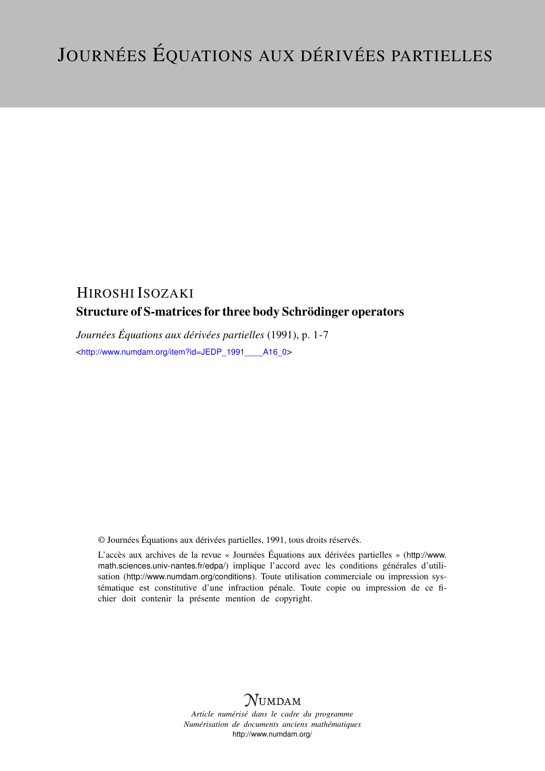# HIROSHI ISOZAKI Structure of S-matrices for three body Schrödinger operators

*Journées Équations aux dérivées partielles* (1991), p. 1-7 <[http://www.numdam.org/item?id=JEDP\\_1991\\_\\_\\_\\_A16\\_0](http://www.numdam.org/item?id=JEDP_1991____A16_0)>

© Journées Équations aux dérivées partielles, 1991, tous droits réservés.

L'accès aux archives de la revue « Journées Équations aux dérivées partielles » ([http://www.](http://www.math.sciences.univ-nantes.fr/edpa/) [math.sciences.univ-nantes.fr/edpa/](http://www.math.sciences.univ-nantes.fr/edpa/)) implique l'accord avec les conditions générales d'utilisation (<http://www.numdam.org/conditions>). Toute utilisation commerciale ou impression systématique est constitutive d'une infraction pénale. Toute copie ou impression de ce fichier doit contenir la présente mention de copyright.



*Article numérisé dans le cadre du programme Numérisation de documents anciens mathématiques* <http://www.numdam.org/>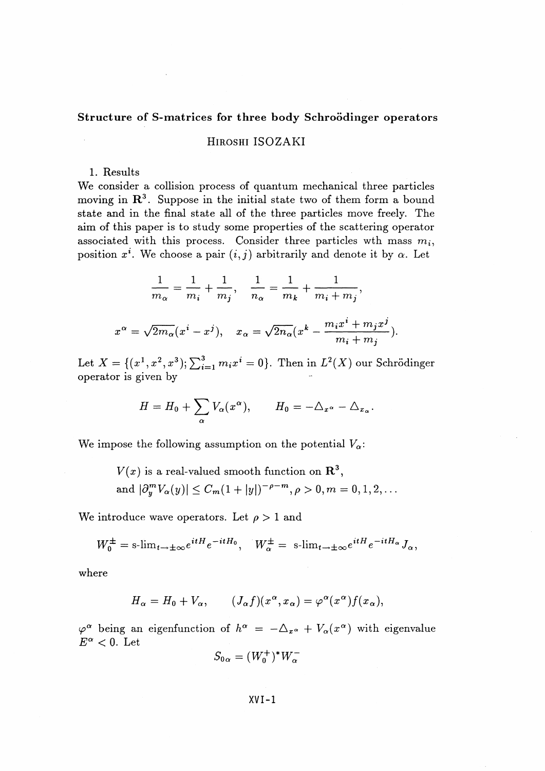# Structure of S-matrices for three body Schroödinger operators

## HIROSHI ISOZAKI

### 1. Results

We consider a collision process of quantum mechanical three particles moving in **R<sup>3</sup> .** Suppose in the initial state two of them form a bound state and in the final state all of the three particles move freely. The aim of this paper is to study some properties of the scattering operator associated with this process. Consider three particles wth mass  $m_i$ , position  $x^i$ . We choose a pair  $(i, j)$  arbitrarily and denote it by  $\alpha$ . Let

$$
\frac{1}{m_{\alpha}} = \frac{1}{m_i} + \frac{1}{m_j}, \quad \frac{1}{n_{\alpha}} = \frac{1}{m_k} + \frac{1}{m_i + m_j},
$$

$$
x^{\alpha} = \sqrt{2m_{\alpha}}(x^i - x^j), \quad x_{\alpha} = \sqrt{2n_{\alpha}}(x^k - \frac{m_i x^i + m_j x^j}{m_i + m_j}).
$$

Let  $X = \{(x^1, x^2, x^3); \sum_{i=1}^3 m_i x^i = 0\}$ . Then in  $L^2(X)$  our Schröding operator is given by

$$
H = H_0 + \sum_{\alpha} V_{\alpha}(x^{\alpha}), \qquad H_0 = -\Delta_{x^{\alpha}} - \Delta_{x_{\alpha}}.
$$

We impose the following assumption on the potential  $V_\alpha$ .

$$
V(x) \text{ is a real-valued smooth function on } \mathbb{R}^3,
$$
  
and  $|\partial_y^m V_{\alpha}(y)| \le C_m (1+|y|)^{-\rho-m}, \rho > 0, m = 0, 1, 2, ...$ 

We introduce wave operators. Let  $\rho > 1$  and

$$
W_0^{\pm} = \text{s-lim}_{t \to \pm \infty} e^{itH} e^{-itH_0}, \quad W_\alpha^{\pm} = \text{s-lim}_{t \to \pm \infty} e^{itH} e^{-itH_\alpha} J_\alpha,
$$

where

$$
H_{\alpha} = H_0 + V_{\alpha}, \qquad (J_{\alpha}f)(x^{\alpha}, x_{\alpha}) = \varphi^{\alpha}(x^{\alpha})f(x_{\alpha}),
$$

 $\varphi^{\alpha}$  being an eigenfunction of  $h^{\alpha} = -\Delta_{x^{\alpha}} + V_{\alpha}(x^{\alpha})$  with eigenvalue  $E^{\alpha} < 0$ . Let  $S_{0\,\alpha} = (W_0^+)^* W_\alpha^-$ 

$$
S_{0\,\alpha}=(W_0^+)^*W_\alpha^-
$$

XVI-l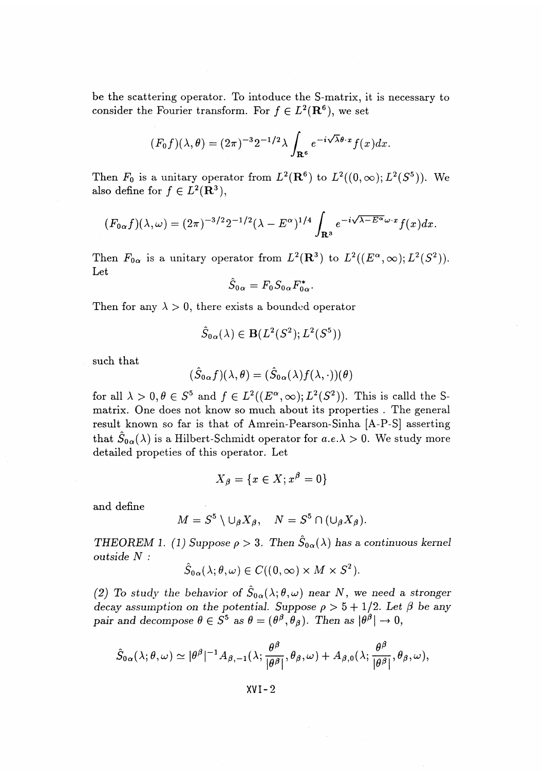be the scattering operator. To intoduce the S-matrix, it is necessary to consider the Fourier transform. For  $f \in L^2(\mathbf{R}^6)$ , we set

$$
(F_0 f)(\lambda, \theta) = (2\pi)^{-3} 2^{-1/2} \lambda \int_{\mathbf{R}^6} e^{-i\sqrt{\lambda} \theta \cdot x} f(x) dx.
$$

Then  $F_0$  is a unitary operator from  $L^2(\mathbf{R}^6)$  to  $L^2((0,\infty); L^2(S^5))$ . We also define for  $f \in L^2(\mathbf{R}^3)$ ,

$$
(F_{0\alpha}f)(\lambda,\omega)=(2\pi)^{-3/2}2^{-1/2}(\lambda-E^{\alpha})^{1/4}\int_{\mathbf{R}^3}e^{-i\sqrt{\lambda-E^{\alpha}}\omega\cdot x}f(x)dx.
$$

Then  $F_{0\alpha}$  is a unitary operator from  $L^2(\mathbf{R}^3)$  to  $L^2((E^{\alpha}, \infty); L^2(S^2)).$ Let

$$
\hat{S}_{0\,\alpha}=F_0S_{0\,\alpha}F_{0\,\alpha}^*.
$$

Then for any  $\lambda > 0$ , there exists a bounded operator

$$
\hat{S}_{0\alpha}(\lambda) \in \mathbf{B}(L^2(S^2); L^2(S^5))
$$

such that

$$
(\hat{S}_{0\alpha}f)(\lambda,\theta)=(\hat{S}_{0\alpha}(\lambda)f(\lambda,\cdot))(\theta)
$$

for all  $\lambda > 0, \theta \in S^5$  and  $f \in L^2((E^{\alpha}, \infty); L^2(S^2))$ . This is calld the Smatrix. One does not know so much about its properties . The general result known so far is that of Amrein-Pearson-Sinha [A-P-S] asserting that  $\hat{S}_{0\alpha}(\lambda)$  is a Hilbert-Schmidt operator for  $a.e.\lambda > 0$ . We study more detailed propeties of this operator. Let

$$
X_{\beta} = \{x \in X; x^{\beta} = 0\}
$$

and define

$$
M = S5 \setminus \cup_{\beta} X_{\beta}, \quad N = S5 \cap (\cup_{\beta} X_{\beta}).
$$

*THEOREM 1. (1)* Suppose  $\rho > 3$ . Then  $\hat{S}_{0\alpha}(\lambda)$  has a continuous kernel *outside N :*

$$
\hat{S}_{0\alpha}(\lambda;\theta,\omega) \in C((0,\infty) \times M \times S^2).
$$

(2) To study the behavior of  $\hat{S}_{0\alpha}(\lambda;\theta,\omega)$  near N, we need a stronger *decay assumption on the potential. Suppose*  $\rho > 5 + 1/2$ *. Let*  $\beta$  *be any* pair and decompose  $\theta \in S^5$  as  $\theta = (\theta^{\beta}, \theta_{\beta})$ . Then as

$$
\hat{S}_{0\alpha}(\lambda;\theta,\omega) \simeq |\theta^{\beta}|^{-1} A_{\beta,-1}(\lambda; \frac{\theta^{\beta}}{|\theta^{\beta}|}, \theta_{\beta},\omega) + A_{\beta,0}(\lambda; \frac{\theta^{\beta}}{|\theta^{\beta}|}, \theta_{\beta},\omega),
$$

 $XVI - 2$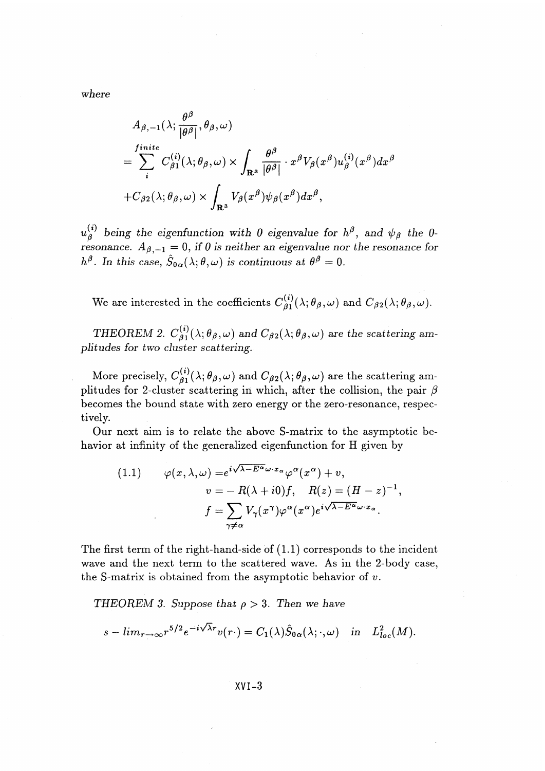where

$$
A_{\beta,-1}(\lambda; \frac{\theta^{\beta}}{|\theta^{\beta}|}, \theta_{\beta}, \omega)
$$
  
= 
$$
\sum_{i}^{finite} C_{\beta 1}^{(i)}(\lambda; \theta_{\beta}, \omega) \times \int_{\mathbf{R}^{3}} \frac{\theta^{\beta}}{|\theta^{\beta}|} \cdot x^{\beta} V_{\beta}(x^{\beta}) u_{\beta}^{(i)}(x^{\beta}) dx^{\beta}
$$
  
+
$$
C_{\beta 2}(\lambda; \theta_{\beta}, \omega) \times \int_{\mathbf{R}^{3}} V_{\beta}(x^{\beta}) \psi_{\beta}(x^{\beta}) dx^{\beta},
$$

 $u^{(i)}_\beta$  being the eigenfunction with 0 eigenvalue for  $h^\beta$ , and  $\psi_\beta$  the 0*resonance.*  $A_{\beta,-1} = 0$ , if 0 is neither an eigenvalue nor the resonance for  $h^{\beta}$ . In this case,  $\hat{S}_{0\alpha}(\lambda;\theta,\omega)$  is continuous at  $\theta^{\beta} = 0$ .

We are interested in the coefficients  $C_{\beta 1}^{(i)}(\lambda;\theta_{\beta},\omega)$  and  $C_{\beta 2}(\lambda;\theta_{\beta},\omega)$ .

*THEOREM 2.*  $C^{(i)}_{\beta 1}(\lambda; \theta_{\beta}, \omega)$  and  $C_{\beta 2}(\lambda; \theta_{\beta}, \omega)$  are the scattering am*plitudes for two cluster scattering.*

More precisely,  $C^{(i)}_{\beta 1}(\lambda; \theta_{\beta}, \omega)$  and  $C_{\beta 2}(\lambda; \theta_{\beta}, \omega)$  are the scattering amplitudes for 2-cluster scattering in which, after the collision, the pair  $\beta$ becomes the bound state with zero energy or the zero-resonance, respectively.

**Our** next aim is to relate the above S-matrix to the asymptotic behavior at infinity of the generalized eigenfunction for H given by

(1.1) 
$$
\varphi(x,\lambda,\omega) = e^{i\sqrt{\lambda - E^{\alpha}}\omega \cdot x_{\alpha}} \varphi^{\alpha}(x^{\alpha}) + v,
$$

$$
v = -R(\lambda + i0)f, \quad R(z) = (H - z)^{-1},
$$

$$
f = \sum_{\gamma \neq \alpha} V_{\gamma}(x^{\gamma}) \varphi^{\alpha}(x^{\alpha}) e^{i\sqrt{\lambda - E^{\alpha}}\omega \cdot x_{\alpha}}.
$$

The first term of the right-hand-side of (1.1) corresponds to the incident wave and the next term to the scattered wave. As in the 2-body case, the S-matrix is obtained from the asymptotic behavior of *v.*

*THEOREM 3. Suppose that*  $\rho > 3$ *. Then we have* 

$$
s-lim_{r\to\infty}r^{5/2}e^{-i\sqrt{\lambda}r}v(r\cdot)=C_1(\lambda)\hat{S}_{0\alpha}(\lambda;\cdot,\omega) \quad \text{in} \quad L^2_{loc}(M).
$$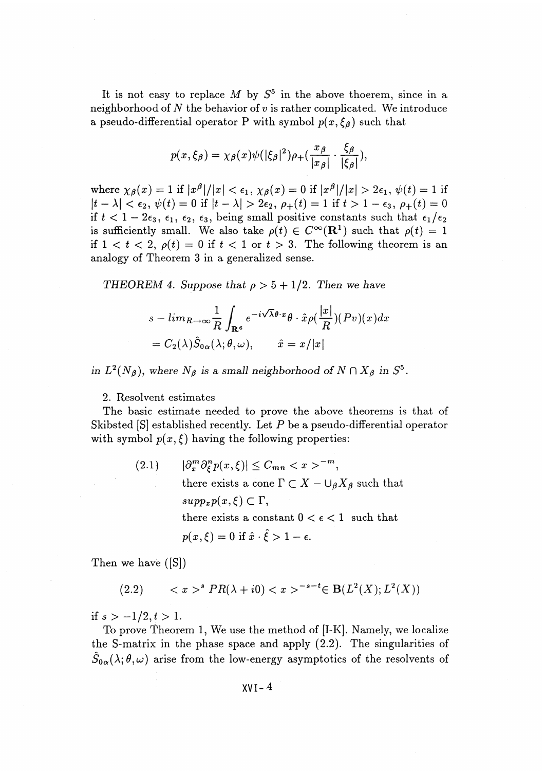It is not easy to replace  $M$  by  $S^5$  in the above thoerem, since in a neighborhood of *N* the behavior of *v* is rather complicated. We introduce a pseudo-differential operator P with symbol  $p(x, \xi_{\beta})$  such that

$$
p(x,\xi_{\beta}) = \chi_{\beta}(x)\psi(|\xi_{\beta}|^2)\rho + (\frac{x_{\beta}}{|x_{\beta}|}\cdot\frac{\xi_{\beta}}{|\xi_{\beta}|}),
$$

where  $\chi_{\beta}(x) = 1$  if  $|x^{\beta}|/|x| < \epsilon_1$ ,  $\chi_{\beta}(x) = 0$  if  $|x^{\beta}|/|x| > 2\epsilon_1$ ,  $\psi(t) = 1$  if  $\vert t - \lambda \vert < \epsilon_2, \, \psi(t) = 0$  if  $\vert t - \lambda \vert > 2\epsilon_2, \, \rho_+(t) = 1$  if  $t > 1 - \epsilon_3, \, \rho_+(t) = 0$ *if*  $t < 1-2\epsilon_3$ ,  $\epsilon_1$ ,  $\epsilon_2$ ,  $\epsilon_3$ , being small positive constants such that  $\epsilon_1/\epsilon_2$ is sufficiently small. We also take  $\rho(t) \in C^{\infty}(\mathbb{R}^1)$  such that  $\rho(t) = 1$ if  $1 < t < 2$ ,  $\rho(t) = 0$  if  $t < 1$  or  $t > 3$ . The following theorem is an analogy of Theorem 3 in a generalized sense.

*THEOREM* 4. Suppose that  $\rho > 5 + 1/2$ . Then we have

$$
s - \lim_{R \to \infty} \frac{1}{R} \int_{\mathbf{R}^6} e^{-i\sqrt{\lambda}\theta \cdot x} \theta \cdot \hat{x} \rho(\frac{|x|}{R})(Pv)(x) dx
$$
  
=  $C_2(\lambda) \hat{S}_{0\alpha}(\lambda; \theta, \omega), \qquad \hat{x} = x/|x|$ 

*in*  $L^2(N_\beta)$ , where  $N_\beta$  *is* a *small neighborhood of*  $N \cap X_\beta$  *in*  $S^5$ 

### 2. Resolvent estimates

The basic estimate needed to prove the above theorems is that of Skibsted  $[S]$  established recently. Let P be a pseudo-differential operator with symbol  $p(x, \xi)$  having the following properties:

> $|(2.1) \qquad |\partial_x^m \partial_{\xi}^n p(x,\xi)| \leq C_{mn} < x >^{-m}$ there exists a cone  $\Gamma \subset X - \bigcup_{\beta} X_{\beta}$  such that  $supp_x p(x,\xi) \subset \Gamma$ , there exists a constant  $0 < \epsilon < 1$  such that  $p(x,\xi) = 0$  if  $\hat{x} \cdot \hat{\xi} > 1-\epsilon$ .

**Then we have** ([S])

(2.2) 
$$
\langle x \rangle^s PR(\lambda + i0) < x >^{-s-t} \in B(L^2(X); L^2(X))
$$

if  $s > -1/2, t > 1$ .

To prove Theorem 1, We use the method of [I-K]. Namely, we localize the S-matrix in the phase space and apply (2.2). The singularities of  $\hat{S}_{0\alpha}(\lambda;\theta,\omega)$  arise from the low-energy asymptotics of the resolvents of

 $XVI - 4$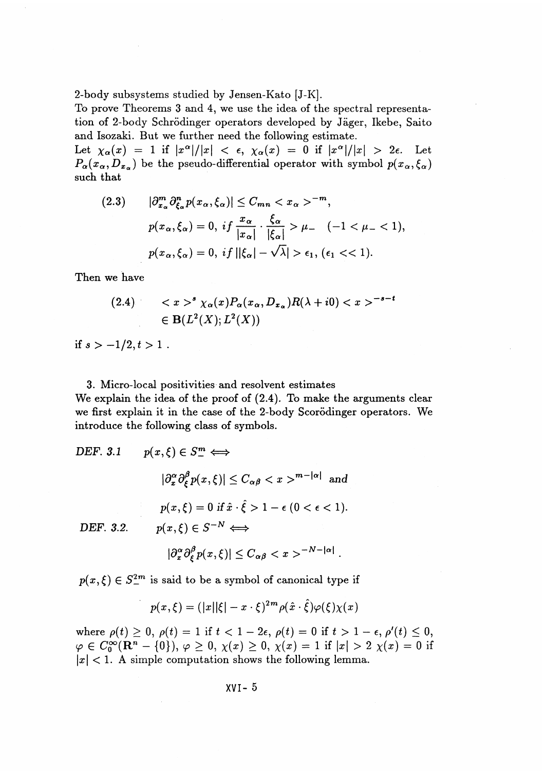2-body subsystems studied by Jensen-Kato [J-K].

To prove Theorems 3 and 4, we use the idea of the spectral representation of 2-body Schrodinger operators developed by Jager, Ikebe, Saito and Isozaki. But we further need the following estimate.

Let  $\chi_{\alpha}(x) = 1$  if  $|x^{\alpha}|/|x| < \epsilon$ ,  $\chi_{\alpha}(x) = 0$  if  $|x^{\alpha}|/|x| > 2\epsilon$ . Let  $P_{\alpha}(x_{\alpha}, D_{x_{\alpha}})$  be the pseudo-differential operator with symbol  $p(x_{\alpha}, \xi_{\alpha})$ such that

$$
(2.3) \qquad |\partial_{x_{\alpha}}^{m} \partial_{\xi_{\alpha}}^{n} p(x_{\alpha}, \xi_{\alpha})| \leq C_{mn} < x_{\alpha} >^{-m},
$$
\n
$$
p(x_{\alpha}, \xi_{\alpha}) = 0, \text{ if } \frac{x_{\alpha}}{|x_{\alpha}|} \cdot \frac{\xi_{\alpha}}{|\xi_{\alpha}|} > \mu_{-} \quad (-1 < \mu_{-} < 1),
$$
\n
$$
p(x_{\alpha}, \xi_{\alpha}) = 0, \text{ if } ||\xi_{\alpha}| - \sqrt{\lambda} > \epsilon_{1}, \quad (\epsilon_{1} < < 1).
$$

Then we have

$$
(2.4) \qquad ^s \chi_{\alpha}(x)P_{\alpha}(x_{\alpha}, D_{x_{\alpha}})R(\lambda + i0) < x>^{-s-t}
$$

$$
\in \mathbf{B}(L^2(X); L^2(X))
$$

if  $s > -1/2, t > 1$ .

3. Micro-local positivities and resolvent estimates

We explain the idea of the proof of (2.4). To make the arguments clear we first explain it in the case of the 2-body Scorodinger operators. We introduce the following class of symbols.

DEF. 3.1 
$$
p(x,\xi) \in S_{-}^{m} \iff
$$
  
\n
$$
|\partial_{x}^{\alpha}\partial_{\xi}^{\beta}p(x,\xi)| \leq C_{\alpha\beta} < x >^{m-|\alpha|} \text{ and }
$$
\n
$$
p(x,\xi) = 0 \text{ if } \hat{x} \cdot \hat{\xi} > 1 - \epsilon \ (0 < \epsilon < 1).
$$
\nDEF. 3.2.  $p(x,\xi) \in S^{-N} \iff$   
\n
$$
|\partial_{x}^{\alpha}\partial_{\xi}^{\beta}p(x,\xi)| \leq C_{\alpha\beta} < x >^{-N-|\alpha|}.
$$

$$
p(x,\xi) \in S^{2m}_{-}
$$
 is said to be a symbol of canonical type if  

$$
p(x,\xi) = (|x||\xi| - x \cdot \xi)^{2m} \rho(\hat{x} \cdot \hat{\xi}) \varphi(\xi) \chi(x)
$$

where  $\rho(t) \geq 0$ ,  $\rho(t) = 1$  if  $t < 1 - 2\epsilon$ ,  $\rho(t) = 0$  if  $t > 1 - \epsilon$ ,  $\rho'(t) \leq 0$ ,  $\varphi \in C_0^{\infty}(\mathbf{R}^n - \{0\}), \varphi \geq 0, \chi(x) \geq 0, \chi(x) = 1$  if  $|x| > 2$   $\chi(x) = 0$  if  $|x|$  < 1. A simple computation shows the following lemma.

$$
XVI - 5
$$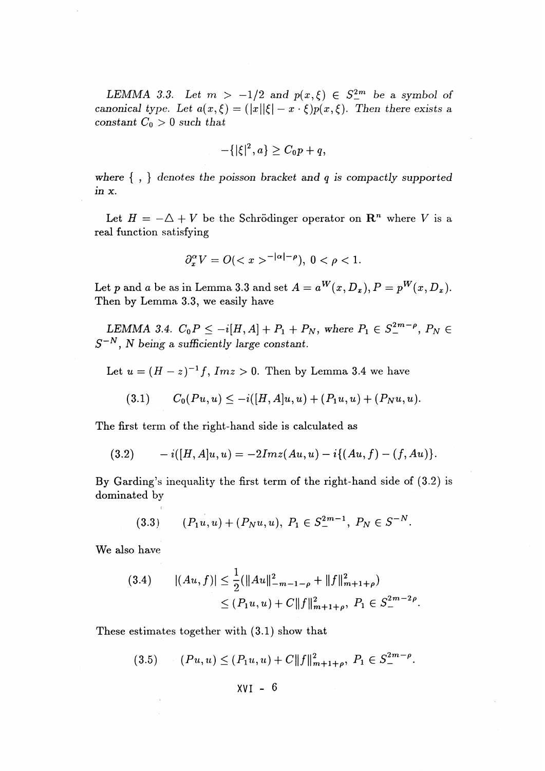*LEMMA 3.3.* Let  $m > -1/2$  and  $p(x, \xi) \in S^{2m}$  be a symbol of *canonical type. Let*  $a(x,\xi) = (|x||\xi| - x \cdot \xi)p(x,\xi)$ . Then there exists a *constant*  $C_0 > 0$  *such that* 

$$
-\{|\xi|^2, a\} \ge C_0 p + q,
$$

*where {* 5 } *denotes the poisson bracket* and *q is compactly supported in* x.

Let  $H = -\Delta + V$  be the Schrödinger operator on  $\mathbb{R}^n$  where *V* is a real function satisfying

$$
\partial_x^{\alpha} V = O(^{-|\alpha|-\rho}), \ 0 < \rho < 1.
$$

Let p and a be as in Lemma 3.3 and set  $A = a^W(x, D_x), P = p^W(x, D_x)$ . Then by Lemma 3.3, we easily have

*LEMMA* 3.4.  $C_0 P \le -i[H, A] + P_1 + P_N$ , where  $P_1 \in S^{2m-\rho}_-, P_N \in$  $S^{-N}$ , N being a sufficiently large constant.

Let  $u = (H - z)^{-1} f$ ,  $Im z > 0$ . Then by Lemma 3.4 we have

$$
(3.1) \tC_0(Pu,u) \leq -i([H,A]u,u) + (P_1u,u) + (P_Nu,u).
$$

The first term of the right-hand side is calculated as

(3.2) 
$$
-i([H,A]u,u)=-2Imz(Au,u)-i\{(Au,f)-(f,Au)\}.
$$

By Garding's inequality the first term of the right-hand side of  $(3.2)$  is dominated by

$$
(3.3) \t(P_1u, u) + (P_Nu, u), P_1 \in S^{2m-1}_-, P_N \in S^{-N}.
$$

We also have

$$
(3.4) \qquad |(Au,f)| \leq \frac{1}{2}(\|Au\|_{-m-1-\rho}^2 + \|f\|_{m+1+\rho}^2)
$$
  
 
$$
\leq (P_1u,u) + C\|f\|_{m+1+\rho}^2, \ P_1 \in S^{2m-2\rho}.
$$

These estimates together with (3.1) show that

(3.5) 
$$
(Pu, u) \le (P_1u, u) + C||f||_{m+1+\rho}^2, P_1 \in S^{2m-\rho}.
$$
  
 
$$
XVI - 6
$$